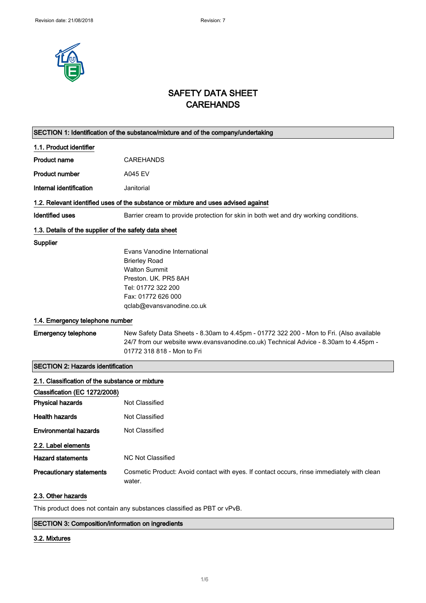

## SAFETY DATA SHEET **CAREHANDS**

|                                                                                    | SECTION 1: Identification of the substance/mixture and of the company/undertaking                                                                                                                             |  |
|------------------------------------------------------------------------------------|---------------------------------------------------------------------------------------------------------------------------------------------------------------------------------------------------------------|--|
| 1.1. Product identifier                                                            |                                                                                                                                                                                                               |  |
| <b>Product name</b>                                                                | <b>CAREHANDS</b>                                                                                                                                                                                              |  |
| <b>Product number</b>                                                              | A045 EV                                                                                                                                                                                                       |  |
| Internal identification                                                            | Janitorial                                                                                                                                                                                                    |  |
| 1.2. Relevant identified uses of the substance or mixture and uses advised against |                                                                                                                                                                                                               |  |
| <b>Identified uses</b>                                                             | Barrier cream to provide protection for skin in both wet and dry working conditions.                                                                                                                          |  |
| 1.3. Details of the supplier of the safety data sheet                              |                                                                                                                                                                                                               |  |
| Supplier                                                                           | Evans Vanodine International<br><b>Brierley Road</b><br><b>Walton Summit</b><br>Preston, UK. PR5 8AH<br>Tel: 01772 322 200<br>Fax: 01772 626 000<br>qclab@evansvanodine.co.uk                                 |  |
| 1.4. Emergency telephone number                                                    |                                                                                                                                                                                                               |  |
| <b>Emergency telephone</b>                                                         | New Safety Data Sheets - 8.30am to 4.45pm - 01772 322 200 - Mon to Fri. (Also available<br>24/7 from our website www.evansvanodine.co.uk) Technical Advice - 8.30am to 4.45pm -<br>01772 318 818 - Mon to Fri |  |
| <b>SECTION 2: Hazards identification</b>                                           |                                                                                                                                                                                                               |  |
| 2.1. Classification of the substance or mixture                                    |                                                                                                                                                                                                               |  |
| Classification (EC 1272/2008)                                                      |                                                                                                                                                                                                               |  |
| <b>Physical hazards</b>                                                            | Not Classified                                                                                                                                                                                                |  |
| <b>Health hazards</b>                                                              | Not Classified                                                                                                                                                                                                |  |
| <b>Environmental hazards</b>                                                       | <b>Not Classified</b>                                                                                                                                                                                         |  |
| 2.2. Label elements                                                                |                                                                                                                                                                                                               |  |
| <b>Hazard statements</b>                                                           | <b>NC Not Classified</b>                                                                                                                                                                                      |  |
| <b>Precautionary statements</b>                                                    | Cosmetic Product: Avoid contact with eyes. If contact occurs, rinse immediately with clean<br>water.                                                                                                          |  |
| 2.3. Other hazards                                                                 |                                                                                                                                                                                                               |  |

This product does not contain any substances classified as PBT or vPvB.

#### SECTION 3: Composition/information on ingredients

#### 3.2. Mixtures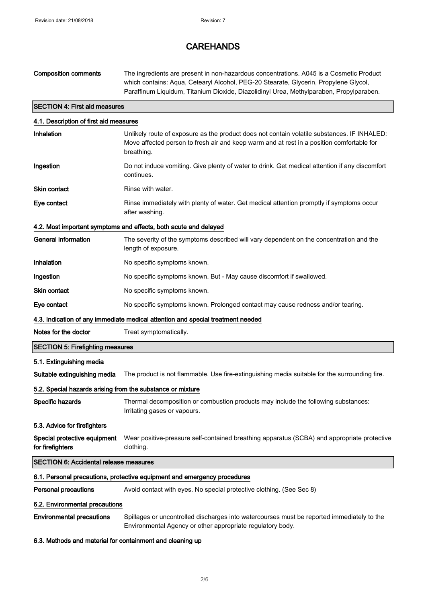| <b>Composition comments</b>                                              | The ingredients are present in non-hazardous concentrations. A045 is a Cosmetic Product<br>which contains: Aqua, Cetearyl Alcohol, PEG-20 Stearate, Glycerin, Propylene Glycol,<br>Paraffinum Liquidum, Titanium Dioxide, Diazolidinyl Urea, Methylparaben, Propylparaben. |  |
|--------------------------------------------------------------------------|----------------------------------------------------------------------------------------------------------------------------------------------------------------------------------------------------------------------------------------------------------------------------|--|
| <b>SECTION 4: First aid measures</b>                                     |                                                                                                                                                                                                                                                                            |  |
| 4.1. Description of first aid measures                                   |                                                                                                                                                                                                                                                                            |  |
| Inhalation                                                               | Unlikely route of exposure as the product does not contain volatile substances. IF INHALED:<br>Move affected person to fresh air and keep warm and at rest in a position comfortable for<br>breathing.                                                                     |  |
| Ingestion                                                                | Do not induce vomiting. Give plenty of water to drink. Get medical attention if any discomfort<br>continues.                                                                                                                                                               |  |
| <b>Skin contact</b>                                                      | Rinse with water.                                                                                                                                                                                                                                                          |  |
| Eye contact                                                              | Rinse immediately with plenty of water. Get medical attention promptly if symptoms occur<br>after washing.                                                                                                                                                                 |  |
|                                                                          | 4.2. Most important symptoms and effects, both acute and delayed                                                                                                                                                                                                           |  |
| <b>General information</b>                                               | The severity of the symptoms described will vary dependent on the concentration and the<br>length of exposure.                                                                                                                                                             |  |
| Inhalation                                                               | No specific symptoms known.                                                                                                                                                                                                                                                |  |
| Ingestion                                                                | No specific symptoms known. But - May cause discomfort if swallowed.                                                                                                                                                                                                       |  |
| <b>Skin contact</b>                                                      | No specific symptoms known.                                                                                                                                                                                                                                                |  |
| Eye contact                                                              | No specific symptoms known. Prolonged contact may cause redness and/or tearing.                                                                                                                                                                                            |  |
|                                                                          | 4.3. Indication of any immediate medical attention and special treatment needed                                                                                                                                                                                            |  |
| Notes for the doctor                                                     | Treat symptomatically.                                                                                                                                                                                                                                                     |  |
| <b>SECTION 5: Firefighting measures</b>                                  |                                                                                                                                                                                                                                                                            |  |
| 5.1. Extinguishing media                                                 |                                                                                                                                                                                                                                                                            |  |
| Suitable extinguishing media                                             | The product is not flammable. Use fire-extinguishing media suitable for the surrounding fire.                                                                                                                                                                              |  |
| 5.2. Special hazards arising from the substance or mixture               |                                                                                                                                                                                                                                                                            |  |
| Specific hazards                                                         | Thermal decomposition or combustion products may include the following substances:<br>Irritating gases or vapours.                                                                                                                                                         |  |
| 5.3. Advice for firefighters                                             |                                                                                                                                                                                                                                                                            |  |
| Special protective equipment<br>for firefighters                         | Wear positive-pressure self-contained breathing apparatus (SCBA) and appropriate protective<br>clothing.                                                                                                                                                                   |  |
| <b>SECTION 6: Accidental release measures</b>                            |                                                                                                                                                                                                                                                                            |  |
| 6.1. Personal precautions, protective equipment and emergency procedures |                                                                                                                                                                                                                                                                            |  |
| <b>Personal precautions</b>                                              | Avoid contact with eyes. No special protective clothing. (See Sec 8)                                                                                                                                                                                                       |  |
| 6.2. Environmental precautions                                           |                                                                                                                                                                                                                                                                            |  |
| <b>Environmental precautions</b>                                         | Spillages or uncontrolled discharges into watercourses must be reported immediately to the<br>Environmental Agency or other appropriate regulatory body.                                                                                                                   |  |

#### 6.3. Methods and material for containment and cleaning up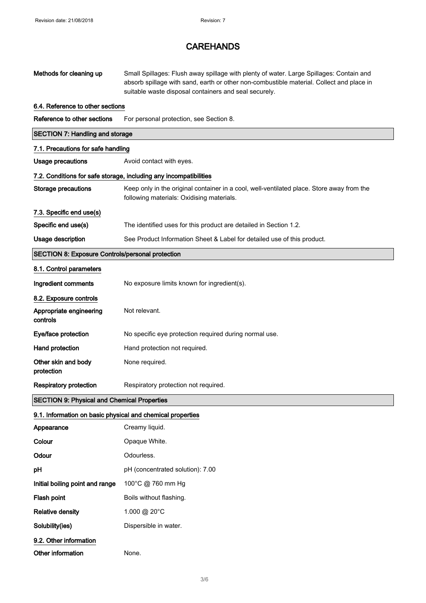| Methods for cleaning up                                           | Small Spillages: Flush away spillage with plenty of water. Large Spillages: Contain and<br>absorb spillage with sand, earth or other non-combustible material. Collect and place in<br>suitable waste disposal containers and seal securely. |  |
|-------------------------------------------------------------------|----------------------------------------------------------------------------------------------------------------------------------------------------------------------------------------------------------------------------------------------|--|
| 6.4. Reference to other sections                                  |                                                                                                                                                                                                                                              |  |
| Reference to other sections                                       | For personal protection, see Section 8.                                                                                                                                                                                                      |  |
| <b>SECTION 7: Handling and storage</b>                            |                                                                                                                                                                                                                                              |  |
| 7.1. Precautions for safe handling                                |                                                                                                                                                                                                                                              |  |
| <b>Usage precautions</b>                                          | Avoid contact with eyes.                                                                                                                                                                                                                     |  |
| 7.2. Conditions for safe storage, including any incompatibilities |                                                                                                                                                                                                                                              |  |
| <b>Storage precautions</b>                                        | Keep only in the original container in a cool, well-ventilated place. Store away from the<br>following materials: Oxidising materials.                                                                                                       |  |
| 7.3. Specific end use(s)                                          |                                                                                                                                                                                                                                              |  |
| Specific end use(s)                                               | The identified uses for this product are detailed in Section 1.2.                                                                                                                                                                            |  |
| <b>Usage description</b>                                          | See Product Information Sheet & Label for detailed use of this product.                                                                                                                                                                      |  |
| <b>SECTION 8: Exposure Controls/personal protection</b>           |                                                                                                                                                                                                                                              |  |
| 8.1. Control parameters                                           |                                                                                                                                                                                                                                              |  |
| Ingredient comments                                               | No exposure limits known for ingredient(s).                                                                                                                                                                                                  |  |
| 8.2. Exposure controls                                            |                                                                                                                                                                                                                                              |  |
| Appropriate engineering<br>controls                               | Not relevant.                                                                                                                                                                                                                                |  |
| Eye/face protection                                               | No specific eye protection required during normal use.                                                                                                                                                                                       |  |
| Hand protection                                                   | Hand protection not required.                                                                                                                                                                                                                |  |
| Other skin and body<br>protection                                 | None required.                                                                                                                                                                                                                               |  |
| <b>Respiratory protection</b>                                     | Respiratory protection not required.                                                                                                                                                                                                         |  |
| <b>SECTION 9: Physical and Chemical Properties</b>                |                                                                                                                                                                                                                                              |  |
| 9.1. Information on basic physical and chemical properties        |                                                                                                                                                                                                                                              |  |
| Appearance                                                        | Creamy liquid.                                                                                                                                                                                                                               |  |
| Colour                                                            | Opaque White.                                                                                                                                                                                                                                |  |
| Odour                                                             | Odourless.                                                                                                                                                                                                                                   |  |
| pH                                                                | pH (concentrated solution): 7.00                                                                                                                                                                                                             |  |
| Initial boiling point and range                                   | 100°C @ 760 mm Hg                                                                                                                                                                                                                            |  |
| Flash point                                                       | Boils without flashing.                                                                                                                                                                                                                      |  |
| <b>Relative density</b>                                           | 1.000 @ 20°C                                                                                                                                                                                                                                 |  |
| Solubility(ies)                                                   | Dispersible in water.                                                                                                                                                                                                                        |  |
| 9.2. Other information                                            |                                                                                                                                                                                                                                              |  |
| Other information                                                 | None.                                                                                                                                                                                                                                        |  |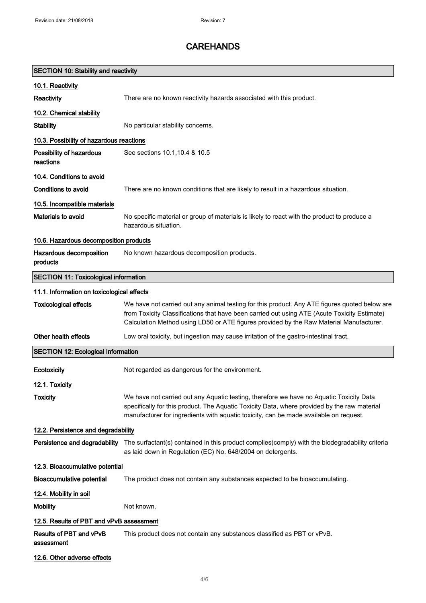| <b>SECTION 10: Stability and reactivity</b>  |                                                                                                                                                                                                                                                                                          |  |
|----------------------------------------------|------------------------------------------------------------------------------------------------------------------------------------------------------------------------------------------------------------------------------------------------------------------------------------------|--|
| 10.1. Reactivity                             |                                                                                                                                                                                                                                                                                          |  |
| Reactivity                                   | There are no known reactivity hazards associated with this product.                                                                                                                                                                                                                      |  |
| 10.2. Chemical stability                     |                                                                                                                                                                                                                                                                                          |  |
| <b>Stability</b>                             | No particular stability concerns.                                                                                                                                                                                                                                                        |  |
| 10.3. Possibility of hazardous reactions     |                                                                                                                                                                                                                                                                                          |  |
| Possibility of hazardous<br>reactions        | See sections 10.1, 10.4 & 10.5                                                                                                                                                                                                                                                           |  |
| 10.4. Conditions to avoid                    |                                                                                                                                                                                                                                                                                          |  |
| Conditions to avoid                          | There are no known conditions that are likely to result in a hazardous situation.                                                                                                                                                                                                        |  |
| 10.5. Incompatible materials                 |                                                                                                                                                                                                                                                                                          |  |
| Materials to avoid                           | No specific material or group of materials is likely to react with the product to produce a<br>hazardous situation.                                                                                                                                                                      |  |
| 10.6. Hazardous decomposition products       |                                                                                                                                                                                                                                                                                          |  |
| Hazardous decomposition<br>products          | No known hazardous decomposition products.                                                                                                                                                                                                                                               |  |
| <b>SECTION 11: Toxicological information</b> |                                                                                                                                                                                                                                                                                          |  |
| 11.1. Information on toxicological effects   |                                                                                                                                                                                                                                                                                          |  |
| <b>Toxicological effects</b>                 | We have not carried out any animal testing for this product. Any ATE figures quoted below are<br>from Toxicity Classifications that have been carried out using ATE (Acute Toxicity Estimate)<br>Calculation Method using LD50 or ATE figures provided by the Raw Material Manufacturer. |  |
| Other health effects                         | Low oral toxicity, but ingestion may cause irritation of the gastro-intestinal tract.                                                                                                                                                                                                    |  |
| <b>SECTION 12: Ecological Information</b>    |                                                                                                                                                                                                                                                                                          |  |
| Ecotoxicity                                  | Not regarded as dangerous for the environment.                                                                                                                                                                                                                                           |  |
| 12.1. Toxicity                               |                                                                                                                                                                                                                                                                                          |  |
| <b>Toxicity</b>                              | We have not carried out any Aquatic testing, therefore we have no Aquatic Toxicity Data<br>specifically for this product. The Aquatic Toxicity Data, where provided by the raw material<br>manufacturer for ingredients with aquatic toxicity, can be made available on request.         |  |
| 12.2. Persistence and degradability          |                                                                                                                                                                                                                                                                                          |  |
| Persistence and degradability                | The surfactant(s) contained in this product complies(comply) with the biodegradability criteria<br>as laid down in Regulation (EC) No. 648/2004 on detergents.                                                                                                                           |  |
| 12.3. Bioaccumulative potential              |                                                                                                                                                                                                                                                                                          |  |
| <b>Bioaccumulative potential</b>             | The product does not contain any substances expected to be bioaccumulating.                                                                                                                                                                                                              |  |
| 12.4. Mobility in soil                       |                                                                                                                                                                                                                                                                                          |  |
| <b>Mobility</b>                              | Not known.                                                                                                                                                                                                                                                                               |  |
| 12.5. Results of PBT and vPvB assessment     |                                                                                                                                                                                                                                                                                          |  |
| Results of PBT and vPvB<br>assessment        | This product does not contain any substances classified as PBT or vPvB.                                                                                                                                                                                                                  |  |
| 12.6. Other adverse effects                  |                                                                                                                                                                                                                                                                                          |  |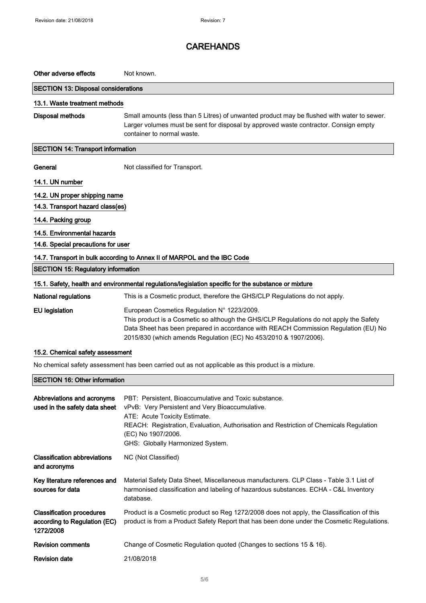| Other adverse effects                                                                                | Not known.                                                                                                                                                                                                                   |  |
|------------------------------------------------------------------------------------------------------|------------------------------------------------------------------------------------------------------------------------------------------------------------------------------------------------------------------------------|--|
| <b>SECTION 13: Disposal considerations</b>                                                           |                                                                                                                                                                                                                              |  |
| 13.1. Waste treatment methods                                                                        |                                                                                                                                                                                                                              |  |
| <b>Disposal methods</b>                                                                              | Small amounts (less than 5 Litres) of unwanted product may be flushed with water to sewer.<br>Larger volumes must be sent for disposal by approved waste contractor. Consign empty<br>container to normal waste.             |  |
| <b>SECTION 14: Transport information</b>                                                             |                                                                                                                                                                                                                              |  |
| General                                                                                              | Not classified for Transport.                                                                                                                                                                                                |  |
| 14.1. UN number                                                                                      |                                                                                                                                                                                                                              |  |
| 14.2. UN proper shipping name                                                                        |                                                                                                                                                                                                                              |  |
| 14.3. Transport hazard class(es)                                                                     |                                                                                                                                                                                                                              |  |
| 14.4. Packing group                                                                                  |                                                                                                                                                                                                                              |  |
| 14.5. Environmental hazards                                                                          |                                                                                                                                                                                                                              |  |
| 14.6. Special precautions for user                                                                   |                                                                                                                                                                                                                              |  |
| 14.7. Transport in bulk according to Annex II of MARPOL and the IBC Code                             |                                                                                                                                                                                                                              |  |
| <b>SECTION 15: Regulatory information</b>                                                            |                                                                                                                                                                                                                              |  |
| 15.1. Safety, health and environmental regulations/legislation specific for the substance or mixture |                                                                                                                                                                                                                              |  |
| <b>National regulations</b>                                                                          | This is a Cosmetic product, therefore the GHS/CLP Regulations do not apply.                                                                                                                                                  |  |
| <b>EU</b> legislation                                                                                | European Cosmetics Regulation N° 1223/2009.<br>This product is a Cosmetic so although the GHS/CLP Regulations do not apply the Safety<br>Data Sheet has been prepared in accordance with REACH Commission Regulation (EU) No |  |

2015/830 (which amends Regulation (EC) No 453/2010 & 1907/2006).

#### 15.2. Chemical safety assessment

No chemical safety assessment has been carried out as not applicable as this product is a mixture.

#### SECTION 16: Other information

| Abbreviations and acronyms<br>used in the safety data sheet                   | PBT: Persistent, Bioaccumulative and Toxic substance.<br>vPvB: Very Persistent and Very Bioaccumulative.<br>ATE: Acute Toxicity Estimate.<br>REACH: Registration, Evaluation, Authorisation and Restriction of Chemicals Regulation<br>(EC) No 1907/2006.<br>GHS: Globally Harmonized System. |
|-------------------------------------------------------------------------------|-----------------------------------------------------------------------------------------------------------------------------------------------------------------------------------------------------------------------------------------------------------------------------------------------|
| <b>Classification abbreviations</b><br>and acronyms                           | NC (Not Classified)                                                                                                                                                                                                                                                                           |
| Key literature references and<br>sources for data                             | Material Safety Data Sheet, Miscellaneous manufacturers. CLP Class - Table 3.1 List of<br>harmonised classification and labeling of hazardous substances. ECHA - C&L Inventory<br>database.                                                                                                   |
| <b>Classification procedures</b><br>according to Regulation (EC)<br>1272/2008 | Product is a Cosmetic product so Reg 1272/2008 does not apply, the Classification of this<br>product is from a Product Safety Report that has been done under the Cosmetic Regulations.                                                                                                       |
| <b>Revision comments</b>                                                      | Change of Cosmetic Regulation quoted (Changes to sections 15 & 16).                                                                                                                                                                                                                           |
| <b>Revision date</b>                                                          | 21/08/2018                                                                                                                                                                                                                                                                                    |